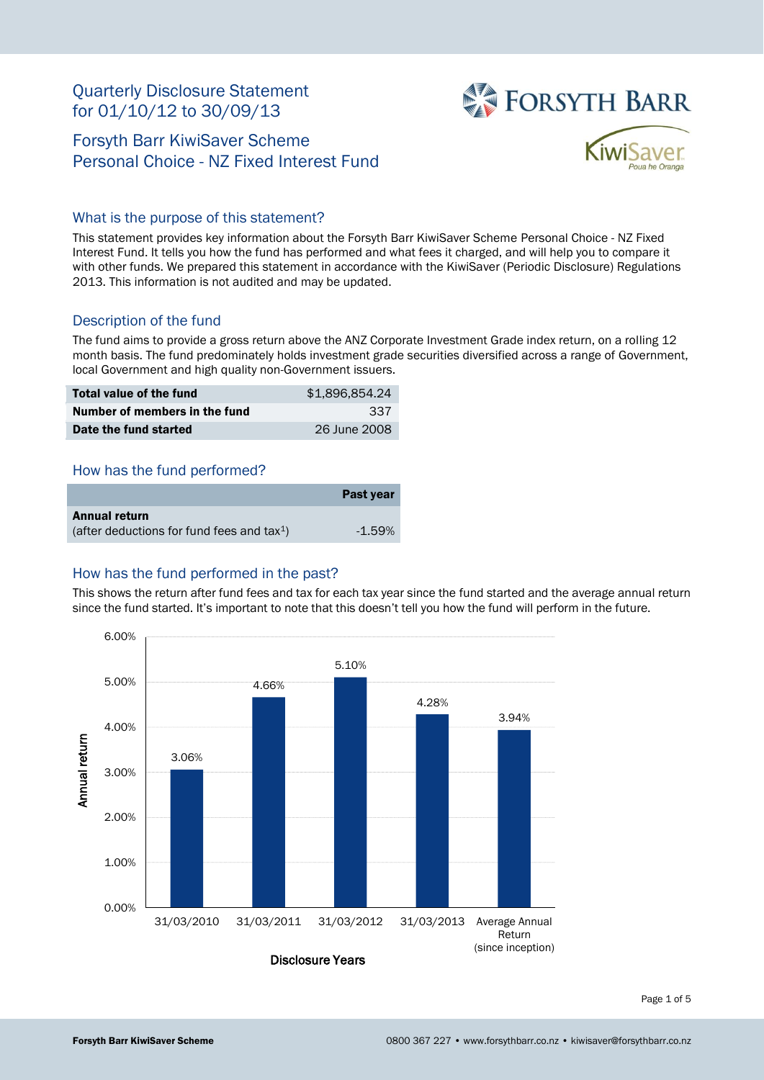# Quarterly Disclosure Statement for 01/10/12 to 30/09/13

# Forsyth Barr KiwiSaver Scheme Personal Choice - NZ Fixed Interest Fund





## What is the purpose of this statement?

This statement provides key information about the Forsyth Barr KiwiSaver Scheme Personal Choice - NZ Fixed Interest Fund. It tells you how the fund has performed and what fees it charged, and will help you to compare it with other funds. We prepared this statement in accordance with the KiwiSaver (Periodic Disclosure) Regulations 2013. This information is not audited and may be updated.

## Description of the fund

The fund aims to provide a gross return above the ANZ Corporate Investment Grade index return, on a rolling 12 month basis. The fund predominately holds investment grade securities diversified across a range of Government, local Government and high quality non-Government issuers.

| Total value of the fund       | \$1,896,854,24 |
|-------------------------------|----------------|
| Number of members in the fund | 337            |
| Date the fund started         | 26 June 2008   |

## How has the fund performed?

|                                                        | Past year |
|--------------------------------------------------------|-----------|
| Annual return                                          |           |
| (after deductions for fund fees and tax <sup>1</sup> ) | $-1.59\%$ |

## How has the fund performed in the past?

This shows the return after fund fees and tax for each tax year since the fund started and the average annual return since the fund started. It's important to note that this doesn't tell you how the fund will perform in the future.



Page 1 of 5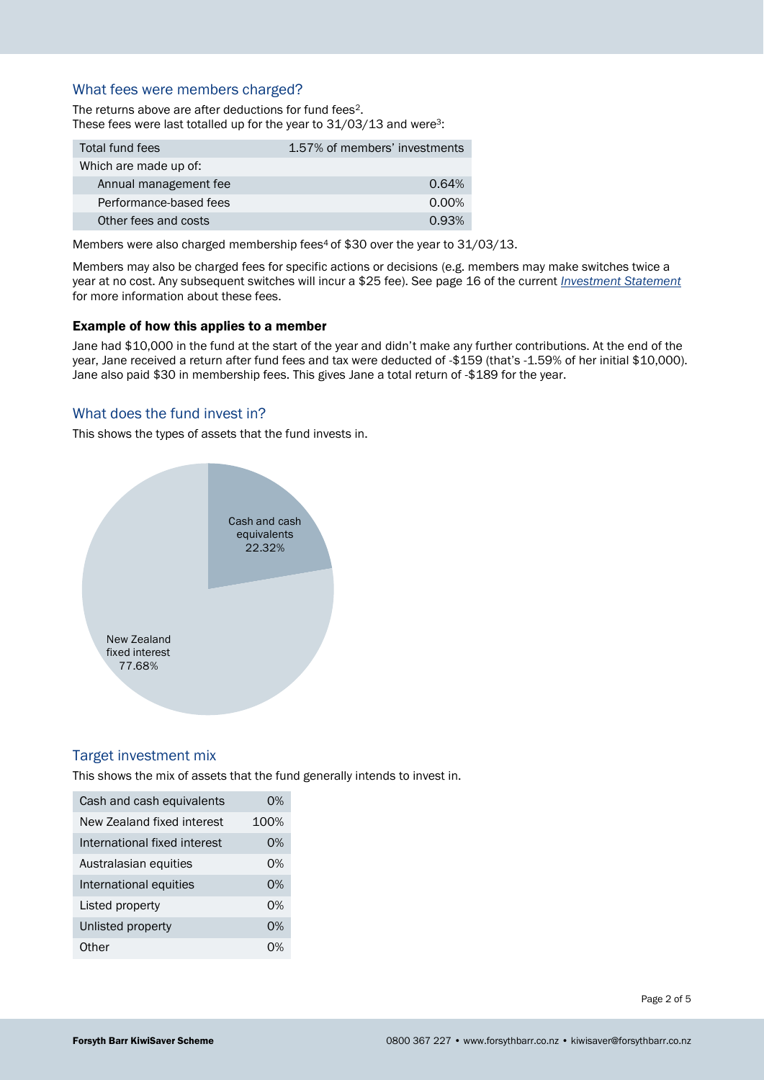## What fees were members charged?

The returns above are after deductions for fund fees<sup>2</sup>. These fees were last totalled up for the year to 31/03/13 and were<sup>3</sup>:

| Total fund fees        | 1.57% of members' investments |
|------------------------|-------------------------------|
| Which are made up of:  |                               |
| Annual management fee  | 0.64%                         |
| Performance-based fees | $0.00\%$                      |
| Other fees and costs   | 0.93%                         |

Members were also charged membership fees<sup>4</sup> of \$30 over the year to 31/03/13.

Members may also be charged fees for specific actions or decisions (e.g. members may make switches twice a year at no cost. Any subsequent switches will incur a \$25 fee). See page 16 of the current *[Investment Statement](https://www.forsythbarr.co.nz/investing-with-us/forms-and-documents/kiwisaver/)* for more information about these fees.

#### Example of how this applies to a member

Jane had \$10,000 in the fund at the start of the year and didn't make any further contributions. At the end of the year, Jane received a return after fund fees and tax were deducted of -\$159 (that's -1.59% of her initial \$10,000). Jane also paid \$30 in membership fees. This gives Jane a total return of -\$189 for the year.

## What does the fund invest in?

This shows the types of assets that the fund invests in.



#### Target investment mix

This shows the mix of assets that the fund generally intends to invest in.

| Cash and cash equivalents    | 0%   |
|------------------------------|------|
| New Zealand fixed interest   | 100% |
| International fixed interest | 0%   |
| Australasian equities        | 0%   |
| International equities       | 0%   |
| Listed property              | በ%   |
| Unlisted property            | በ%   |
| Other                        | በ%   |

Page 2 of 5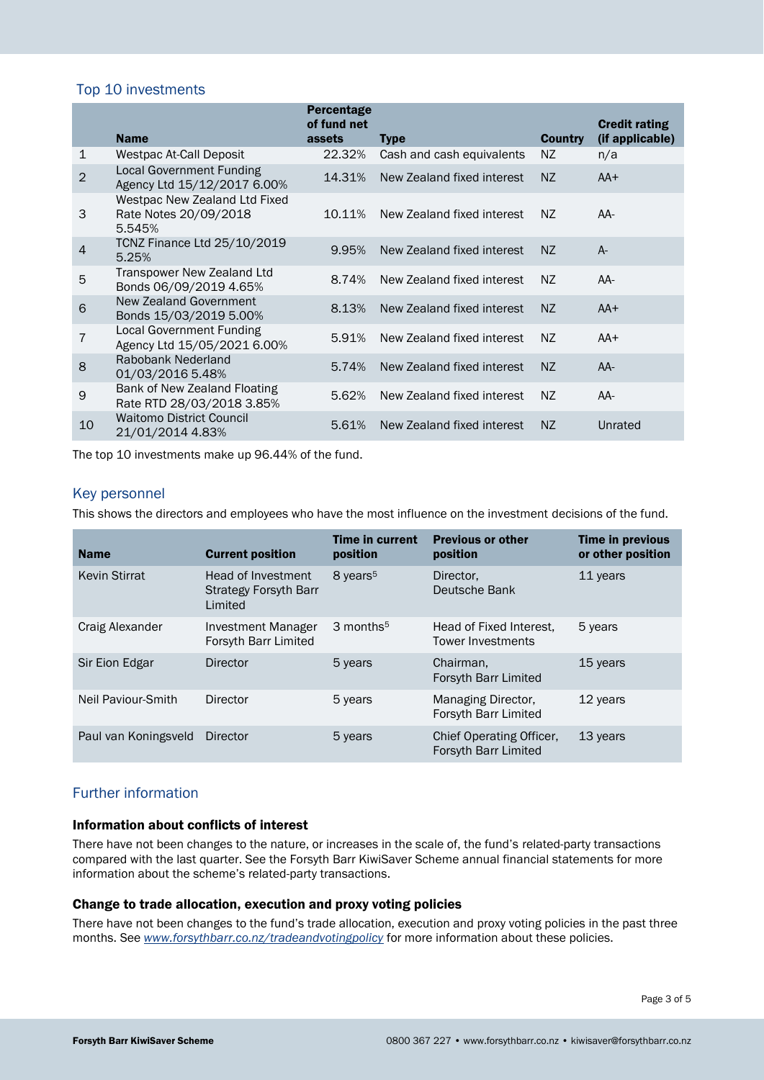## Top 10 investments

|                |                                                                  | <b>Percentage</b><br>of fund net |                            |                | <b>Credit rating</b> |
|----------------|------------------------------------------------------------------|----------------------------------|----------------------------|----------------|----------------------|
|                | <b>Name</b>                                                      | assets                           | <b>Type</b>                | <b>Country</b> | (if applicable)      |
| 1              | Westpac At-Call Deposit                                          | 22.32%                           | Cash and cash equivalents  | NZ.            | n/a                  |
| $\overline{2}$ | <b>Local Government Funding</b><br>Agency Ltd 15/12/2017 6.00%   | 14.31%                           | New Zealand fixed interest | NZ.            | $AA+$                |
| 3              | Westpac New Zealand Ltd Fixed<br>Rate Notes 20/09/2018<br>5.545% | 10.11%                           | New Zealand fixed interest | NZ.            | AA-                  |
| $\overline{4}$ | TCNZ Finance Ltd 25/10/2019<br>5.25%                             | 9.95%                            | New Zealand fixed interest | NZ.            | $A -$                |
| 5              | Transpower New Zealand Ltd<br>Bonds 06/09/2019 4.65%             | 8.74%                            | New Zealand fixed interest | NZ.            | AA-                  |
| 6              | <b>New Zealand Government</b><br>Bonds 15/03/2019 5.00%          | 8.13%                            | New Zealand fixed interest | NZ.            | $AA+$                |
| 7              | <b>Local Government Funding</b><br>Agency Ltd 15/05/2021 6.00%   | 5.91%                            | New Zealand fixed interest | NZ.            | $AA+$                |
| 8              | Rabobank Nederland<br>01/03/2016 5.48%                           | 5.74%                            | New Zealand fixed interest | NZ             | $AA-$                |
| 9              | Bank of New Zealand Floating<br>Rate RTD 28/03/2018 3.85%        | 5.62%                            | New Zealand fixed interest | NZ.            | AA-                  |
| 10             | <b>Waitomo District Council</b><br>21/01/2014 4.83%              | 5.61%                            | New Zealand fixed interest | NZ.            | Unrated              |

The top 10 investments make up 96.44% of the fund.

#### Key personnel

This shows the directors and employees who have the most influence on the investment decisions of the fund.

| <b>Name</b>          | <b>Current position</b>                                       | <b>Time in current</b><br>position | <b>Previous or other</b><br>position                | Time in previous<br>or other position |
|----------------------|---------------------------------------------------------------|------------------------------------|-----------------------------------------------------|---------------------------------------|
| <b>Kevin Stirrat</b> | Head of Investment<br><b>Strategy Forsyth Barr</b><br>Limited | 8 years <sup>5</sup>               | Director,<br>Deutsche Bank                          | 11 years                              |
| Craig Alexander      | Investment Manager<br>Forsyth Barr Limited                    | 3 months <sup>5</sup>              | Head of Fixed Interest.<br><b>Tower Investments</b> | 5 years                               |
| Sir Eion Edgar       | Director                                                      | 5 years                            | Chairman.<br>Forsyth Barr Limited                   | 15 years                              |
| Neil Paviour-Smith   | Director                                                      | 5 years                            | Managing Director,<br>Forsyth Barr Limited          | 12 years                              |
| Paul van Koningsveld | Director                                                      | 5 years                            | Chief Operating Officer.<br>Forsyth Barr Limited    | 13 years                              |

## Further information

#### Information about conflicts of interest

There have not been changes to the nature, or increases in the scale of, the fund's related-party transactions compared with the last quarter. See the Forsyth Barr KiwiSaver Scheme annual financial statements for more information about the scheme's related-party transactions.

#### Change to trade allocation, execution and proxy voting policies

There have not been changes to the fund's trade allocation, execution and proxy voting policies in the past three months. See *[www.forsythbarr.co.nz/tradeandvotingpolicy](http://www.forsythbarr.co.nz/tradeandvotingpolicy)* for more information about these policies.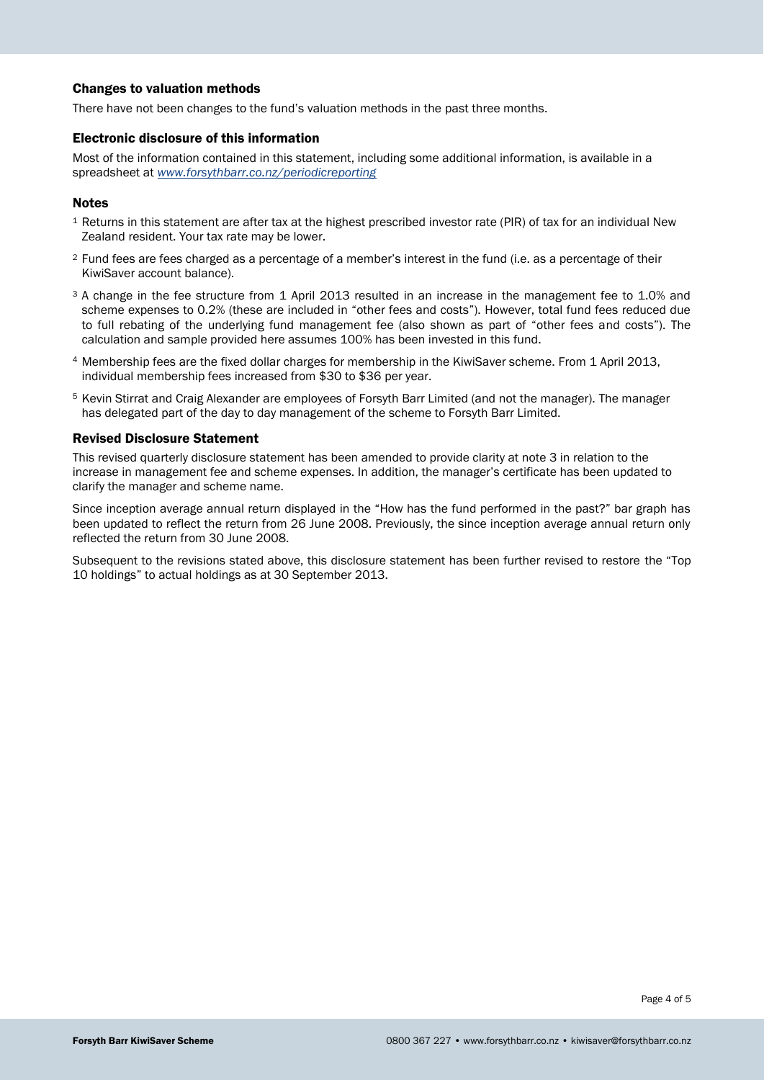#### Changes to valuation methods

There have not been changes to the fund's valuation methods in the past three months.

#### Electronic disclosure of this information

Most of the information contained in this statement, including some additional information, is available in a spreadsheet at *[www.forsythbarr.co.nz/periodicreporting](http://www.forsythbarr.co.nz/periodicreporting)*

#### **Notes**

- <sup>1</sup> Returns in this statement are after tax at the highest prescribed investor rate (PIR) of tax for an individual New Zealand resident. Your tax rate may be lower.
- <sup>2</sup> Fund fees are fees charged as a percentage of a member's interest in the fund (i.e. as a percentage of their KiwiSaver account balance).
- <sup>3</sup> A change in the fee structure from 1 April 2013 resulted in an increase in the management fee to 1.0% and scheme expenses to 0.2% (these are included in "other fees and costs"). However, total fund fees reduced due to full rebating of the underlying fund management fee (also shown as part of "other fees and costs"). The calculation and sample provided here assumes 100% has been invested in this fund.
- <sup>4</sup> Membership fees are the fixed dollar charges for membership in the KiwiSaver scheme. From 1 April 2013, individual membership fees increased from \$30 to \$36 per year.
- <sup>5</sup> Kevin Stirrat and Craig Alexander are employees of Forsyth Barr Limited (and not the manager). The manager has delegated part of the day to day management of the scheme to Forsyth Barr Limited.

#### Revised Disclosure Statement

This revised quarterly disclosure statement has been amended to provide clarity at note 3 in relation to the increase in management fee and scheme expenses. In addition, the manager's certificate has been updated to clarify the manager and scheme name.

Since inception average annual return displayed in the "How has the fund performed in the past?" bar graph has been updated to reflect the return from 26 June 2008. Previously, the since inception average annual return only reflected the return from 30 June 2008.

Subsequent to the revisions stated above, this disclosure statement has been further revised to restore the "Top 10 holdings" to actual holdings as at 30 September 2013.